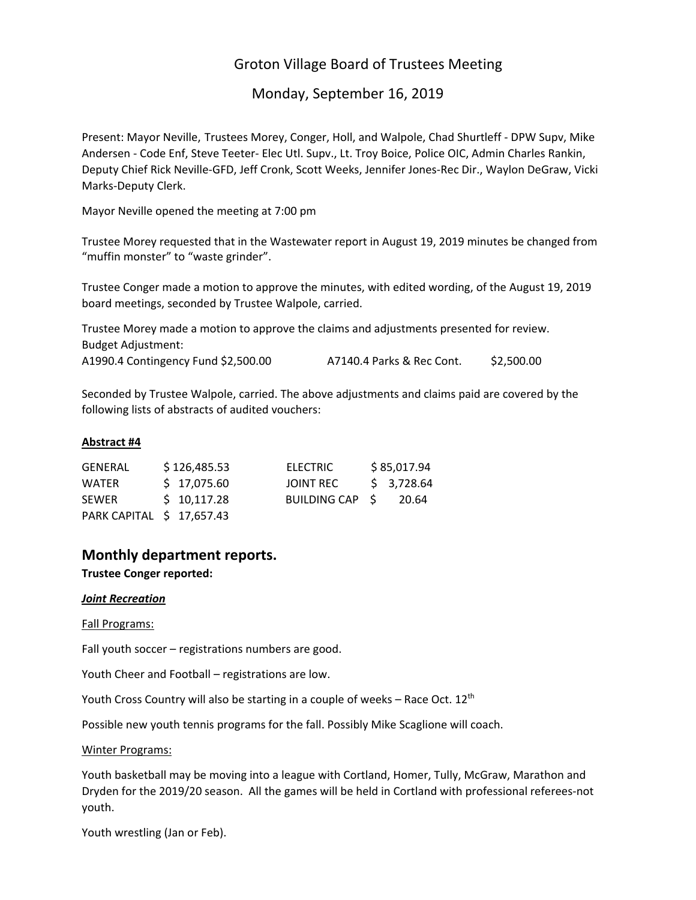# Groton Village Board of Trustees Meeting

# Monday, September 16, 2019

Present: Mayor Neville, Trustees Morey, Conger, Holl, and Walpole, Chad Shurtleff ‐ DPW Supv, Mike Andersen ‐ Code Enf, Steve Teeter‐ Elec Utl. Supv., Lt. Troy Boice, Police OIC, Admin Charles Rankin, Deputy Chief Rick Neville‐GFD, Jeff Cronk, Scott Weeks, Jennifer Jones‐Rec Dir., Waylon DeGraw, Vicki Marks‐Deputy Clerk.

Mayor Neville opened the meeting at 7:00 pm

Trustee Morey requested that in the Wastewater report in August 19, 2019 minutes be changed from "muffin monster" to "waste grinder".

Trustee Conger made a motion to approve the minutes, with edited wording, of the August 19, 2019 board meetings, seconded by Trustee Walpole, carried.

Trustee Morey made a motion to approve the claims and adjustments presented for review. Budget Adjustment: A1990.4 Contingency Fund \$2,500.00 A7140.4 Parks & Rec Cont. \$2,500.00

Seconded by Trustee Walpole, carried. The above adjustments and claims paid are covered by the following lists of abstracts of audited vouchers:

### **Abstract #4**

| GENERAL                   | \$126,485.53 | ELECTRIC        | \$85,017.94 |
|---------------------------|--------------|-----------------|-------------|
| <b>WATER</b>              | \$17,075.60  | JOINT REC       | \$3,728.64  |
| <b>SEWER</b>              | \$10,117.28  | BUILDING CAP \$ | -20.64      |
| PARK CAPITAL \$ 17,657.43 |              |                 |             |

# **Monthly department reports.**

**Trustee Conger reported:**

#### *Joint Recreation*

#### Fall Programs:

Fall youth soccer – registrations numbers are good.

Youth Cheer and Football – registrations are low.

Youth Cross Country will also be starting in a couple of weeks - Race Oct. 12<sup>th</sup>

Possible new youth tennis programs for the fall. Possibly Mike Scaglione will coach.

Winter Programs:

Youth basketball may be moving into a league with Cortland, Homer, Tully, McGraw, Marathon and Dryden for the 2019/20 season. All the games will be held in Cortland with professional referees-not youth.

Youth wrestling (Jan or Feb).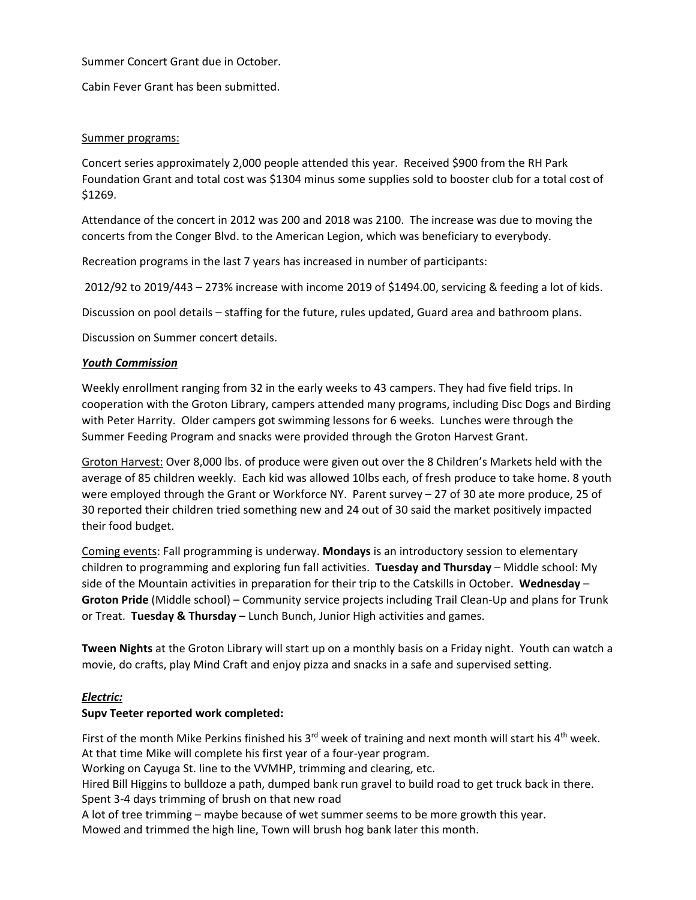### Summer Concert Grant due in October.

Cabin Fever Grant has been submitted.

# Summer programs:

Concert series approximately 2,000 people attended this year. Received \$900 from the RH Park Foundation Grant and total cost was \$1304 minus some supplies sold to booster club for a total cost of \$1269.

Attendance of the concert in 2012 was 200 and 2018 was 2100. The increase was due to moving the concerts from the Conger Blvd. to the American Legion, which was beneficiary to everybody.

Recreation programs in the last 7 years has increased in number of participants:

2012/92 to 2019/443 – 273% increase with income 2019 of \$1494.00, servicing & feeding a lot of kids.

Discussion on pool details – staffing for the future, rules updated, Guard area and bathroom plans.

Discussion on Summer concert details.

# *Youth Commission*

Weekly enrollment ranging from 32 in the early weeks to 43 campers. They had five field trips. In cooperation with the Groton Library, campers attended many programs, including Disc Dogs and Birding with Peter Harrity. Older campers got swimming lessons for 6 weeks. Lunches were through the Summer Feeding Program and snacks were provided through the Groton Harvest Grant.

Groton Harvest: Over 8,000 lbs. of produce were given out over the 8 Children's Markets held with the average of 85 children weekly. Each kid was allowed 10lbs each, of fresh produce to take home. 8 youth were employed through the Grant or Workforce NY. Parent survey – 27 of 30 ate more produce, 25 of 30 reported their children tried something new and 24 out of 30 said the market positively impacted their food budget.

Coming events: Fall programming is underway. **Mondays** is an introductory session to elementary children to programming and exploring fun fall activities. **Tuesday and Thursday** – Middle school: My side of the Mountain activities in preparation for their trip to the Catskills in October. **Wednesday** – **Groton Pride** (Middle school) – Community service projects including Trail Clean‐Up and plans for Trunk or Treat. **Tuesday & Thursday** – Lunch Bunch, Junior High activities and games.

**Tween Nights** at the Groton Library will start up on a monthly basis on a Friday night. Youth can watch a movie, do crafts, play Mind Craft and enjoy pizza and snacks in a safe and supervised setting.

# *Electric:*

# **Supv Teeter reported work completed:**

First of the month Mike Perkins finished his 3<sup>rd</sup> week of training and next month will start his 4<sup>th</sup> week. At that time Mike will complete his first year of a four‐year program.

Working on Cayuga St. line to the VVMHP, trimming and clearing, etc.

Hired Bill Higgins to bulldoze a path, dumped bank run gravel to build road to get truck back in there. Spent 3‐4 days trimming of brush on that new road

A lot of tree trimming – maybe because of wet summer seems to be more growth this year. Mowed and trimmed the high line, Town will brush hog bank later this month.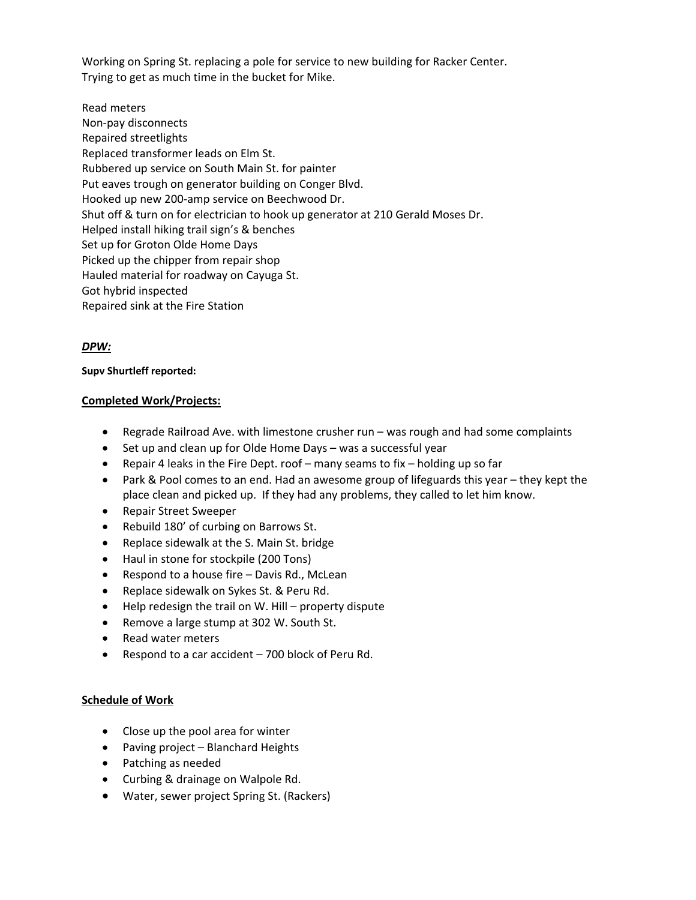Working on Spring St. replacing a pole for service to new building for Racker Center. Trying to get as much time in the bucket for Mike.

Read meters Non‐pay disconnects Repaired streetlights Replaced transformer leads on Elm St. Rubbered up service on South Main St. for painter Put eaves trough on generator building on Conger Blvd. Hooked up new 200‐amp service on Beechwood Dr. Shut off & turn on for electrician to hook up generator at 210 Gerald Moses Dr. Helped install hiking trail sign's & benches Set up for Groton Olde Home Days Picked up the chipper from repair shop Hauled material for roadway on Cayuga St. Got hybrid inspected Repaired sink at the Fire Station

# *DPW:*

# **Supv Shurtleff reported:**

# **Completed Work/Projects:**

- Regrade Railroad Ave. with limestone crusher run was rough and had some complaints
- Set up and clean up for Olde Home Days was a successful year
- **•** Repair 4 leaks in the Fire Dept. roof many seams to fix holding up so far
- Park & Pool comes to an end. Had an awesome group of lifeguards this year they kept the place clean and picked up. If they had any problems, they called to let him know.
- Repair Street Sweeper
- Rebuild 180' of curbing on Barrows St.
- Replace sidewalk at the S. Main St. bridge
- Haul in stone for stockpile (200 Tons)
- Respond to a house fire Davis Rd., McLean
- Replace sidewalk on Sykes St. & Peru Rd.
- Help redesign the trail on W. Hill property dispute
- Remove a large stump at 302 W. South St.
- Read water meters
- Respond to a car accident 700 block of Peru Rd.

# **Schedule of Work**

- Close up the pool area for winter
- Paving project Blanchard Heights
- Patching as needed
- Curbing & drainage on Walpole Rd.
- Water, sewer project Spring St. (Rackers)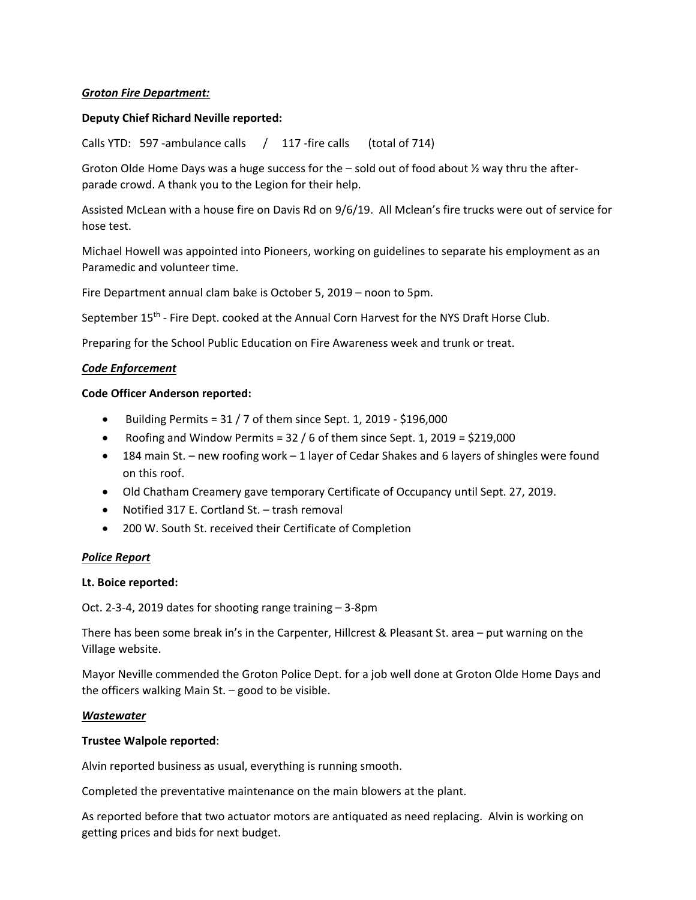### *Groton Fire Department:*

### **Deputy Chief Richard Neville reported:**

Calls YTD: 597 -ambulance calls / 117 -fire calls (total of 714)

Groton Olde Home Days was a huge success for the  $-$  sold out of food about  $\frac{1}{2}$  way thru the afterparade crowd. A thank you to the Legion for their help.

Assisted McLean with a house fire on Davis Rd on 9/6/19. All Mclean's fire trucks were out of service for hose test.

Michael Howell was appointed into Pioneers, working on guidelines to separate his employment as an Paramedic and volunteer time.

Fire Department annual clam bake is October 5, 2019 – noon to 5pm.

September 15<sup>th</sup> - Fire Dept. cooked at the Annual Corn Harvest for the NYS Draft Horse Club.

Preparing for the School Public Education on Fire Awareness week and trunk or treat.

### *Code Enforcement*

#### **Code Officer Anderson reported:**

- $\bullet$  Building Permits = 31 / 7 of them since Sept. 1, 2019 \$196,000
- Roofing and Window Permits = 32 / 6 of them since Sept. 1, 2019 = \$219,000
- 184 main St. new roofing work 1 layer of Cedar Shakes and 6 layers of shingles were found on this roof.
- Old Chatham Creamery gave temporary Certificate of Occupancy until Sept. 27, 2019.
- Notified 317 E. Cortland St. trash removal
- 200 W. South St. received their Certificate of Completion

#### *Police Report*

#### **Lt. Boice reported:**

Oct. 2‐3‐4, 2019 dates for shooting range training – 3‐8pm

There has been some break in's in the Carpenter, Hillcrest & Pleasant St. area – put warning on the Village website.

Mayor Neville commended the Groton Police Dept. for a job well done at Groton Olde Home Days and the officers walking Main St. – good to be visible.

#### *Wastewater*

#### **Trustee Walpole reported**:

Alvin reported business as usual, everything is running smooth.

Completed the preventative maintenance on the main blowers at the plant.

As reported before that two actuator motors are antiquated as need replacing. Alvin is working on getting prices and bids for next budget.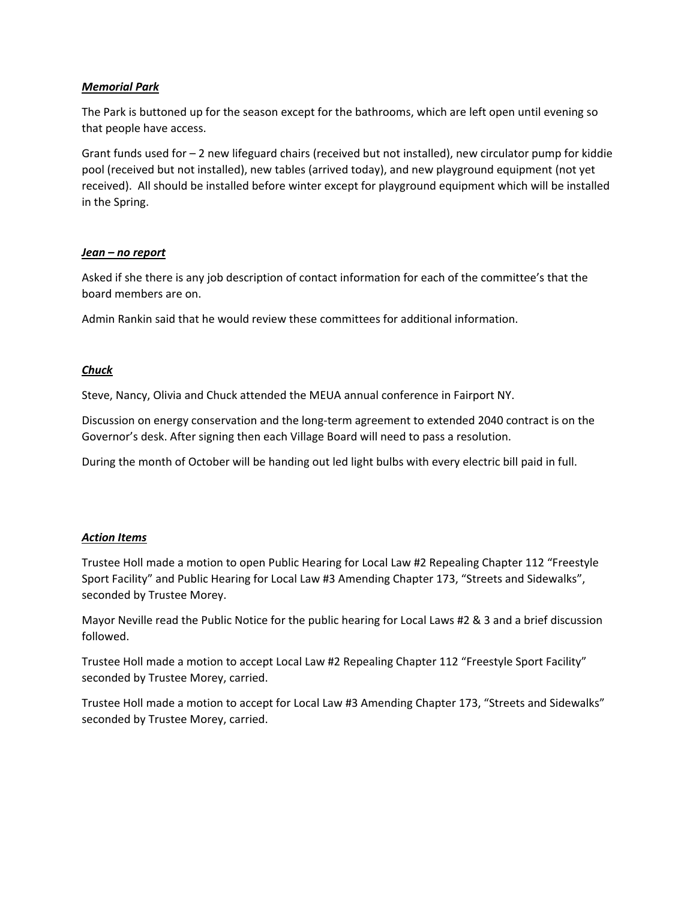# *Memorial Park*

The Park is buttoned up for the season except for the bathrooms, which are left open until evening so that people have access.

Grant funds used for – 2 new lifeguard chairs (received but not installed), new circulator pump for kiddie pool (received but not installed), new tables (arrived today), and new playground equipment (not yet received). All should be installed before winter except for playground equipment which will be installed in the Spring.

# *Jean – no report*

Asked if she there is any job description of contact information for each of the committee's that the board members are on.

Admin Rankin said that he would review these committees for additional information.

### *Chuck*

Steve, Nancy, Olivia and Chuck attended the MEUA annual conference in Fairport NY.

Discussion on energy conservation and the long‐term agreement to extended 2040 contract is on the Governor's desk. After signing then each Village Board will need to pass a resolution.

During the month of October will be handing out led light bulbs with every electric bill paid in full.

# *Action Items*

Trustee Holl made a motion to open Public Hearing for Local Law #2 Repealing Chapter 112 "Freestyle Sport Facility" and Public Hearing for Local Law #3 Amending Chapter 173, "Streets and Sidewalks", seconded by Trustee Morey.

Mayor Neville read the Public Notice for the public hearing for Local Laws #2 & 3 and a brief discussion followed.

Trustee Holl made a motion to accept Local Law #2 Repealing Chapter 112 "Freestyle Sport Facility" seconded by Trustee Morey, carried.

Trustee Holl made a motion to accept for Local Law #3 Amending Chapter 173, "Streets and Sidewalks" seconded by Trustee Morey, carried.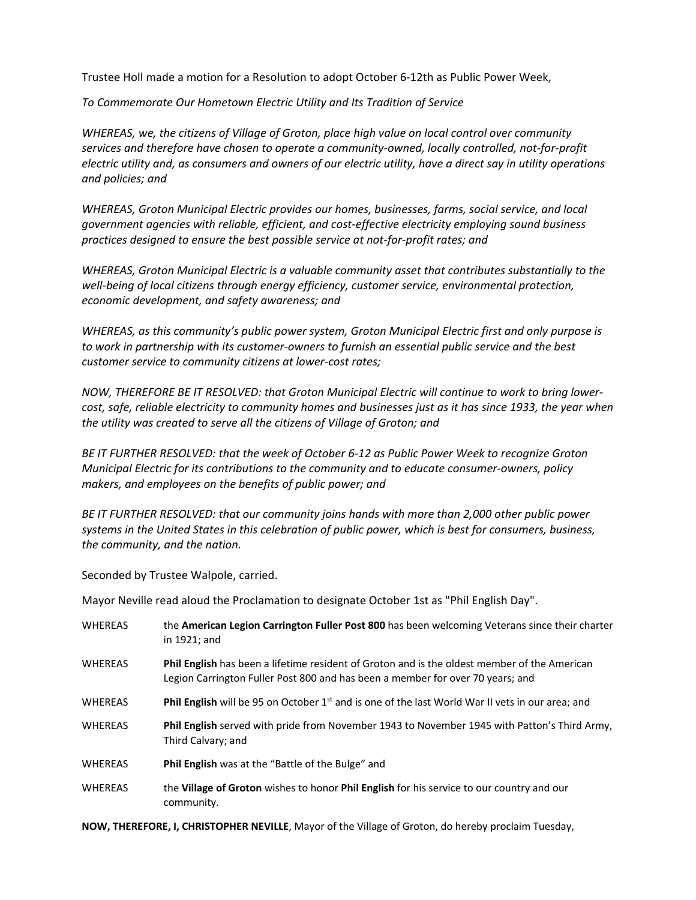Trustee Holl made a motion for a Resolution to adopt October 6‐12th as Public Power Week,

*To Commemorate Our Hometown Electric Utility and Its Tradition of Service*

*WHEREAS, we, the citizens of Village of Groton, place high value on local control over community* services and therefore have chosen to operate a community-owned, locally controlled, not-for-profit electric utility and, as consumers and owners of our electric utility, have a direct say in utility operations *and policies; and*

*WHEREAS, Groton Municipal Electric provides our homes, businesses, farms, social service, and local government agencies with reliable, efficient, and cost‐effective electricity employing sound business practices designed to ensure the best possible service at not‐for‐profit rates; and*

*WHEREAS, Groton Municipal Electric is a valuable community asset that contributes substantially to the well‐being of local citizens through energy efficiency, customer service, environmental protection, economic development, and safety awareness; and*

*WHEREAS, as this community's public power system, Groton Municipal Electric first and only purpose is* to work in partnership with its customer-owners to furnish an essential public service and the best *customer service to community citizens at lower‐cost rates;*

*NOW, THEREFORE BE IT RESOLVED: that Groton Municipal Electric will continue to work to bring lower‐* cost, safe, reliable electricity to community homes and businesses just as it has since 1933, the year when *the utility was created to serve all the citizens of Village of Groton; and*

BE IT FURTHER RESOLVED: that the week of October 6-12 as Public Power Week to recognize Groton *Municipal Electric for its contributions to the community and to educate consumer‐owners, policy makers, and employees on the benefits of public power; and*

*BE IT FURTHER RESOLVED: that our community joins hands with more than 2,000 other public power systems in the United States in this celebration of public power, which is best for consumers, business, the community, and the nation.*

Seconded by Trustee Walpole, carried.

Mayor Neville read aloud the Proclamation to designate October 1st as "Phil English Day".

| <b>WHEREAS</b> | the American Legion Carrington Fuller Post 800 has been welcoming Veterans since their charter<br>in 1921; and                                                                 |
|----------------|--------------------------------------------------------------------------------------------------------------------------------------------------------------------------------|
| <b>WHEREAS</b> | Phil English has been a lifetime resident of Groton and is the oldest member of the American<br>Legion Carrington Fuller Post 800 and has been a member for over 70 years; and |
| <b>WHEREAS</b> | Phil English will be 95 on October 1 <sup>st</sup> and is one of the last World War II vets in our area; and                                                                   |
| <b>WHEREAS</b> | Phil English served with pride from November 1943 to November 1945 with Patton's Third Army,<br>Third Calvary; and                                                             |
| <b>WHEREAS</b> | <b>Phil English</b> was at the "Battle of the Bulge" and                                                                                                                       |
| <b>WHEREAS</b> | the Village of Groton wishes to honor Phil English for his service to our country and our<br>community.                                                                        |

**NOW, THEREFORE, I, CHRISTOPHER NEVILLE**, Mayor of the Village of Groton, do hereby proclaim Tuesday,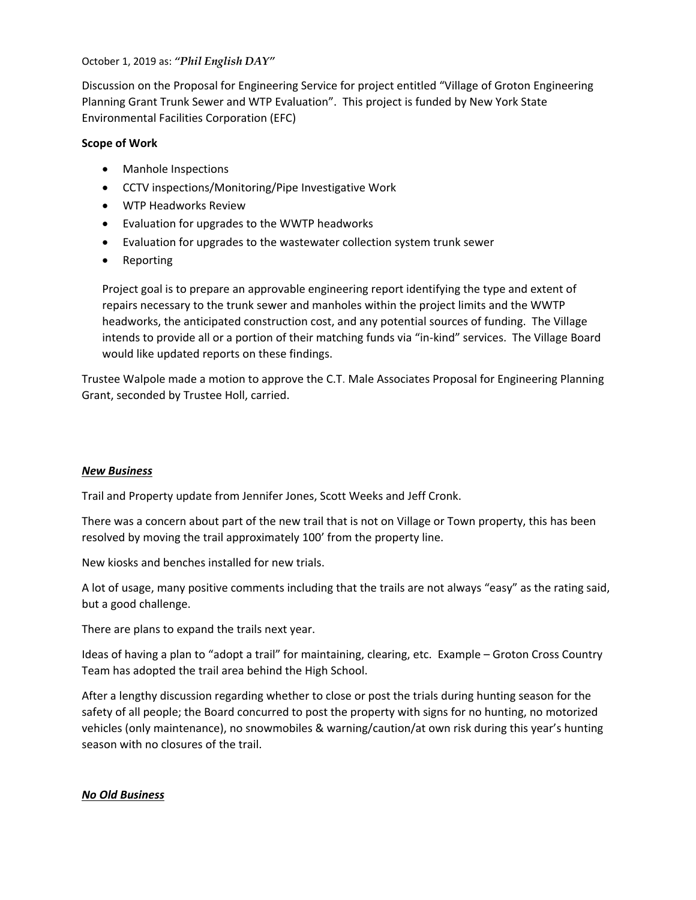### October 1, 2019 as: *"Phil English DAY"*

Discussion on the Proposal for Engineering Service for project entitled "Village of Groton Engineering Planning Grant Trunk Sewer and WTP Evaluation". This project is funded by New York State Environmental Facilities Corporation (EFC)

# **Scope of Work**

- Manhole Inspections
- CCTV inspections/Monitoring/Pipe Investigative Work
- WTP Headworks Review
- Evaluation for upgrades to the WWTP headworks
- Evaluation for upgrades to the wastewater collection system trunk sewer
- Reporting

Project goal is to prepare an approvable engineering report identifying the type and extent of repairs necessary to the trunk sewer and manholes within the project limits and the WWTP headworks, the anticipated construction cost, and any potential sources of funding. The Village intends to provide all or a portion of their matching funds via "in‐kind" services. The Village Board would like updated reports on these findings.

Trustee Walpole made a motion to approve the C.T. Male Associates Proposal for Engineering Planning Grant, seconded by Trustee Holl, carried.

# *New Business*

Trail and Property update from Jennifer Jones, Scott Weeks and Jeff Cronk.

There was a concern about part of the new trail that is not on Village or Town property, this has been resolved by moving the trail approximately 100' from the property line.

New kiosks and benches installed for new trials.

A lot of usage, many positive comments including that the trails are not always "easy" as the rating said, but a good challenge.

There are plans to expand the trails next year.

Ideas of having a plan to "adopt a trail" for maintaining, clearing, etc. Example – Groton Cross Country Team has adopted the trail area behind the High School.

After a lengthy discussion regarding whether to close or post the trials during hunting season for the safety of all people; the Board concurred to post the property with signs for no hunting, no motorized vehicles (only maintenance), no snowmobiles & warning/caution/at own risk during this year's hunting season with no closures of the trail.

# *No Old Business*